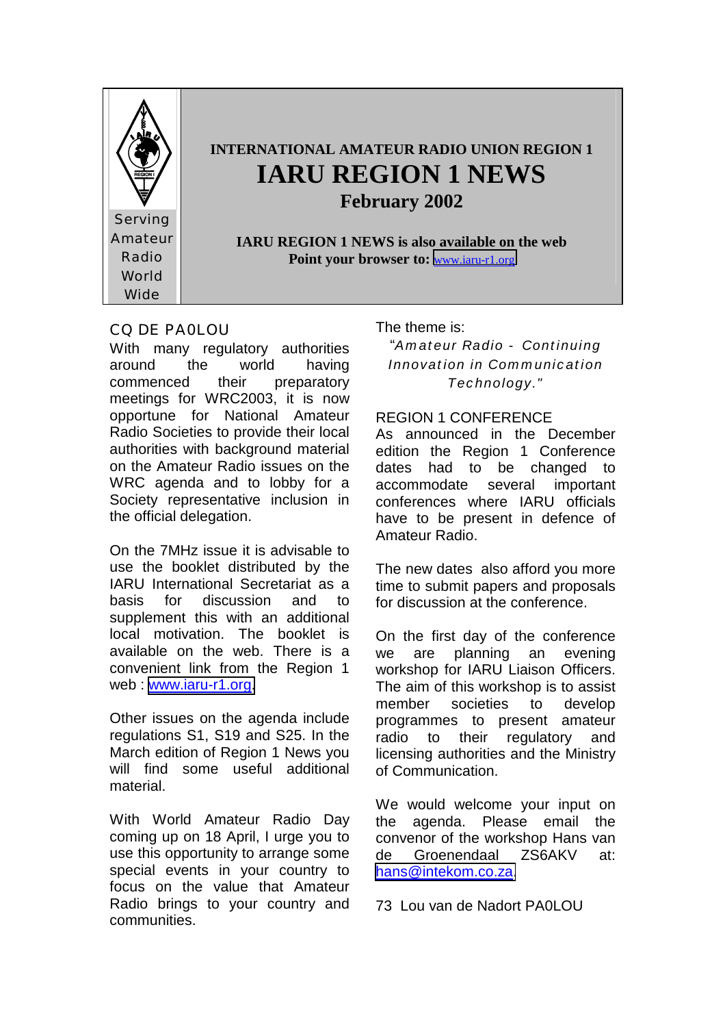

### CQ DE PA0LOU

With many regulatory authorities around the world having commenced their preparatory meetings for WRC2003, it is now opportune for National Amateur Radio Societies to provide their local authorities with background material on the Amateur Radio issues on the WRC agenda and to lobby for a Society representative inclusion in the official delegation.

On the 7MHz issue it is advisable to use the booklet distributed by the IARU International Secretariat as a basis for discussion and to supplement this with an additional local motivation. The booklet is available on the web. There is a convenient link from the Region 1 web : [www.iaru-r1.org.](http://www.iaru-r1.org/)

Other issues on the agenda include regulations S1, S19 and S25. In the March edition of Region 1 News you will find some useful additional material.

With World Amateur Radio Day coming up on 18 April, I urge you to use this opportunity to arrange some special events in your country to focus on the value that Amateur Radio brings to your country and communities.

The theme is:

"*Amateur Radio - Continuing Innovation in Communication Technology."* 

### REGION 1 CONFERENCE

As announced in the December edition the Region 1 Conference dates had to be changed to accommodate several important conferences where IARU officials have to be present in defence of Amateur Radio.

The new dates also afford you more time to submit papers and proposals for discussion at the conference.

On the first day of the conference we are planning an evening workshop for IARU Liaison Officers. The aim of this workshop is to assist member societies to develop programmes to present amateur radio to their regulatory and licensing authorities and the Ministry of Communication.

We would welcome your input on the agenda. Please email the convenor of the workshop Hans van de Groenendaal ZS6AKV at: [hans@intekom.co.za.](mailto:hans@intekom.co.za)

73 Lou van de Nadort PA0LOU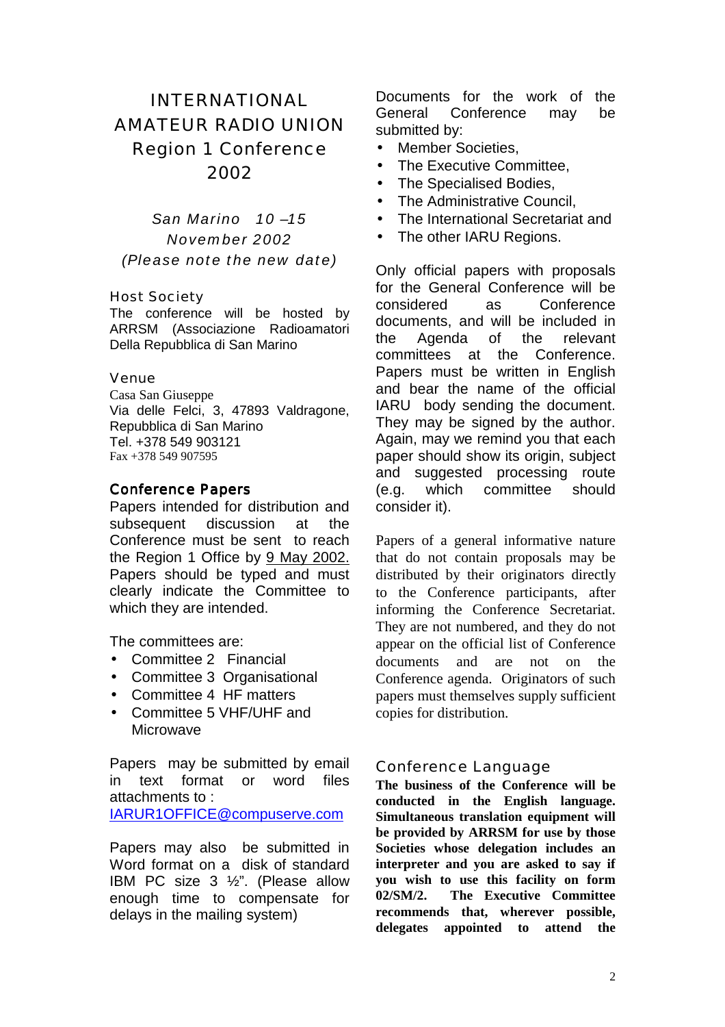# INTERNATIONAL AMATEUR RADIO UNION Region 1 Conference 2002

*San Marino 10 –15 November 2002 (Please note the new date)*

#### Host Society

The conference will be hosted by ARRSM (Associazione Radioamatori Della Repubblica di San Marino

#### Venue

Casa San Giuseppe Via delle Felci, 3, 47893 Valdragone, Repubblica di San Marino Tel. +378 549 903121 Fax +378 549 907595

#### **Conference Papers**

Papers intended for distribution and subsequent discussion at the Conference must be sent to reach the Region 1 Office by 9 May 2002. Papers should be typed and must clearly indicate the Committee to which they are intended.

The committees are:

- Committee 2 Financial
- Committee 3 Organisational
- Committee 4 HF matters
- Committee 5 VHF/UHF and Microwave

Papers may be submitted by email in text format or word files attachments to : IARUR1OFFICE@compuserve.com

Papers may also be submitted in Word format on a disk of standard IBM PC size 3 ½". (Please allow enough time to compensate for delays in the mailing system)

Documents for the work of the General Conference may be submitted by:

- Member Societies,
- The Executive Committee,
- The Specialised Bodies,
- The Administrative Council.
- The International Secretariat and
- The other IARU Regions.

Only official papers with proposals for the General Conference will be considered as Conference documents, and will be included in the Agenda of the relevant committees at the Conference. Papers must be written in English and bear the name of the official IARU body sending the document. They may be signed by the author. Again, may we remind you that each paper should show its origin, subject and suggested processing route (e.g. which committee should consider it).

Papers of a general informative nature that do not contain proposals may be distributed by their originators directly to the Conference participants, after informing the Conference Secretariat. They are not numbered, and they do not appear on the official list of Conference documents and are not on the Conference agenda. Originators of such papers must themselves supply sufficient copies for distribution.

#### Conference Language

**The business of the Conference will be conducted in the English language. Simultaneous translation equipment will be provided by ARRSM for use by those Societies whose delegation includes an interpreter and you are asked to say if you wish to use this facility on form 02/SM/2. The Executive Committee recommends that, wherever possible, delegates appointed to attend the**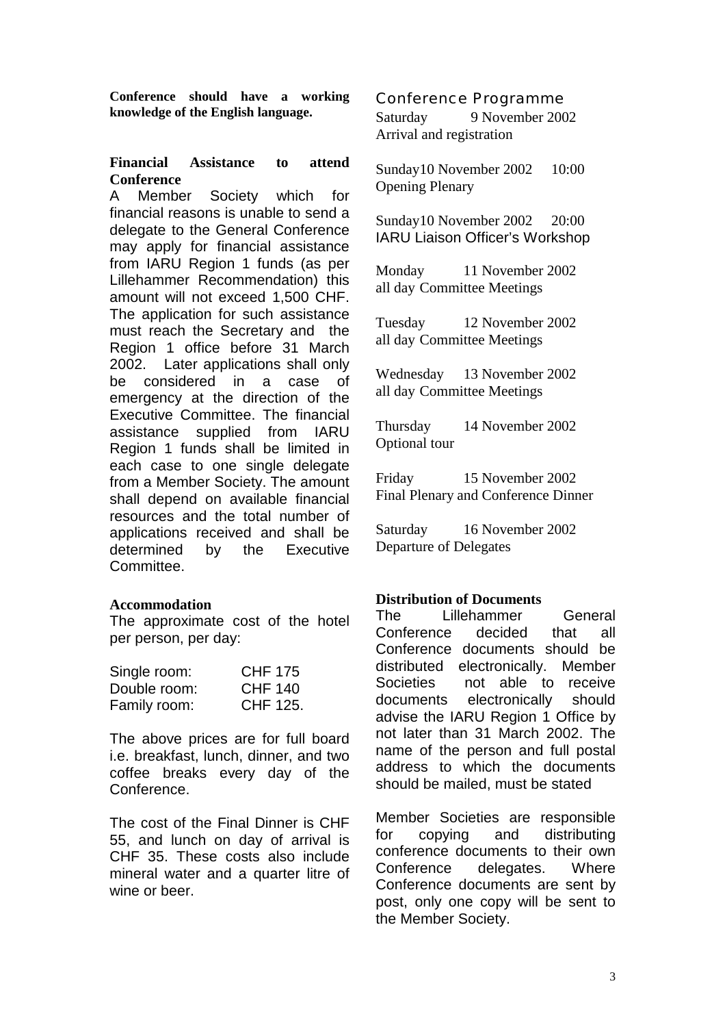**Conference should have a working knowledge of the English language.** 

#### **Financial Assistance to attend Conference**

A Member Society which for financial reasons is unable to send a delegate to the General Conference may apply for financial assistance from IARU Region 1 funds (as per Lillehammer Recommendation) this amount will not exceed 1,500 CHF. The application for such assistance must reach the Secretary and the Region 1 office before 31 March 2002. Later applications shall only be considered in a case of emergency at the direction of the Executive Committee. The financial assistance supplied from IARU Region 1 funds shall be limited in each case to one single delegate from a Member Society. The amount shall depend on available financial resources and the total number of applications received and shall be determined by the Executive Committee.

#### **Accommodation**

The approximate cost of the hotel per person, per day:

| Single room: | <b>CHF 175</b> |
|--------------|----------------|
| Double room: | <b>CHF 140</b> |
| Family room: | CHF 125.       |

The above prices are for full board i.e. breakfast, lunch, dinner, and two coffee breaks every day of the Conference.

The cost of the Final Dinner is CHF 55, and lunch on day of arrival is CHF 35. These costs also include mineral water and a quarter litre of wine or beer

Conference Programme Saturday 9 November 2002 Arrival and registration

Sunday 10 November 2002 10:00 Opening Plenary

Sunday 10 November 2002 20:00 IARU Liaison Officer's Workshop

Monday 11 November 2002 all day Committee Meetings

Tuesday 12 November 2002 all day Committee Meetings

Wednesday 13 November 2002 all day Committee Meetings

Thursday 14 November 2002 Optional tour

Friday 15 November 2002 Final Plenary and Conference Dinner

Saturday 16 November 2002 Departure of Delegates

#### **Distribution of Documents**

The Lillehammer General Conference decided that all Conference documents should be distributed electronically. Member Societies not able to receive documents electronically should advise the IARU Region 1 Office by not later than 31 March 2002. The name of the person and full postal address to which the documents should be mailed, must be stated

Member Societies are responsible for copying and distributing conference documents to their own Conference delegates. Where Conference documents are sent by post, only one copy will be sent to the Member Society.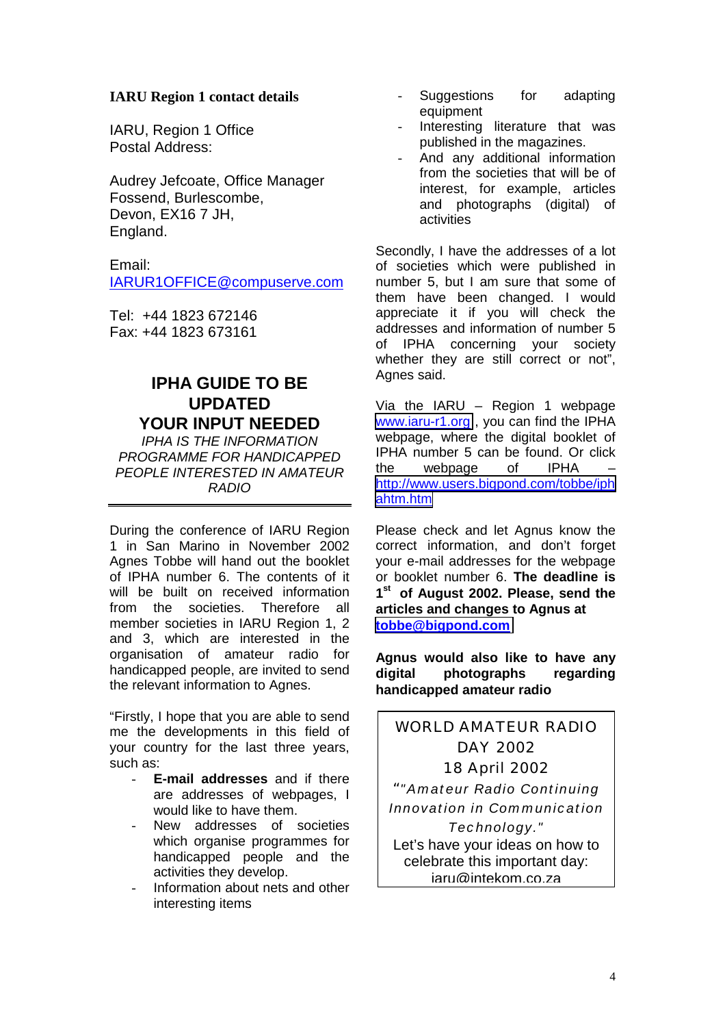#### **IARU Region 1 contact details**

IARU, Region 1 Office Postal Address:

Audrey Jefcoate, Office Manager Fossend, Burlescombe, Devon, EX16 7 JH, England.

Email: IARUR1OFFICE@compuserve.com

Tel: +44 1823 672146 Fax: +44 1823 673161

## **IPHA GUIDE TO BE UPDATED YOUR INPUT NEEDED**

*IPHA IS THE INFORMATION PROGRAMME FOR HANDICAPPED PEOPLE INTERESTED IN AMATEUR RADIO* 

During the conference of IARU Region 1 in San Marino in November 2002 Agnes Tobbe will hand out the booklet of IPHA number 6. The contents of it will be built on received information from the societies. Therefore all member societies in IARU Region 1, 2 and 3, which are interested in the organisation of amateur radio for handicapped people, are invited to send the relevant information to Agnes.

"Firstly, I hope that you are able to send me the developments in this field of your country for the last three years, such as:

- **E-mail addresses** and if there are addresses of webpages, I would like to have them.
- New addresses of societies which organise programmes for handicapped people and the activities they develop.
- Information about nets and other interesting items
- Suggestions for adapting equipment
- Interesting literature that was published in the magazines.
- And any additional information from the societies that will be of interest, for example, articles and photographs (digital) of activities

Secondly, I have the addresses of a lot of societies which were published in number 5, but I am sure that some of them have been changed. I would appreciate it if you will check the addresses and information of number 5 of IPHA concerning your society whether they are still correct or not", Agnes said.

Via the IARU  $-$  Region 1 webpage [www.iaru-r1.org](http://www.iaru-r1.org/) , you can find the IPHA webpage, where the digital booklet of IPHA number 5 can be found. Or click<br>the webbage of IPHA – the webpage of [http://www.users.bigpond.com/tobbe/iph](http://www.users.bigpond.com/tobbe/iphahtm.htm) [ahtm.htm](http://www.users.bigpond.com/tobbe/iphahtm.htm)

Please check and let Agnus know the correct information, and don't forget your e-mail addresses for the webpage or booklet number 6. **The deadline is 1st of August 2002. Please, send the articles and changes to Agnus at [tobbe@bigpond.com](mailto:tobbe@bigpond.com)**

**Agnus would also like to have any digital photographs regarding handicapped amateur radio**

# WORLD AMATEUR RADIO DAY 2002 18 April 2002

"*"Amateur Radio Continuing Innovation in Communication Technology."*  Let's have your ideas on how to celebrate this important day: iaru@intekom.co.za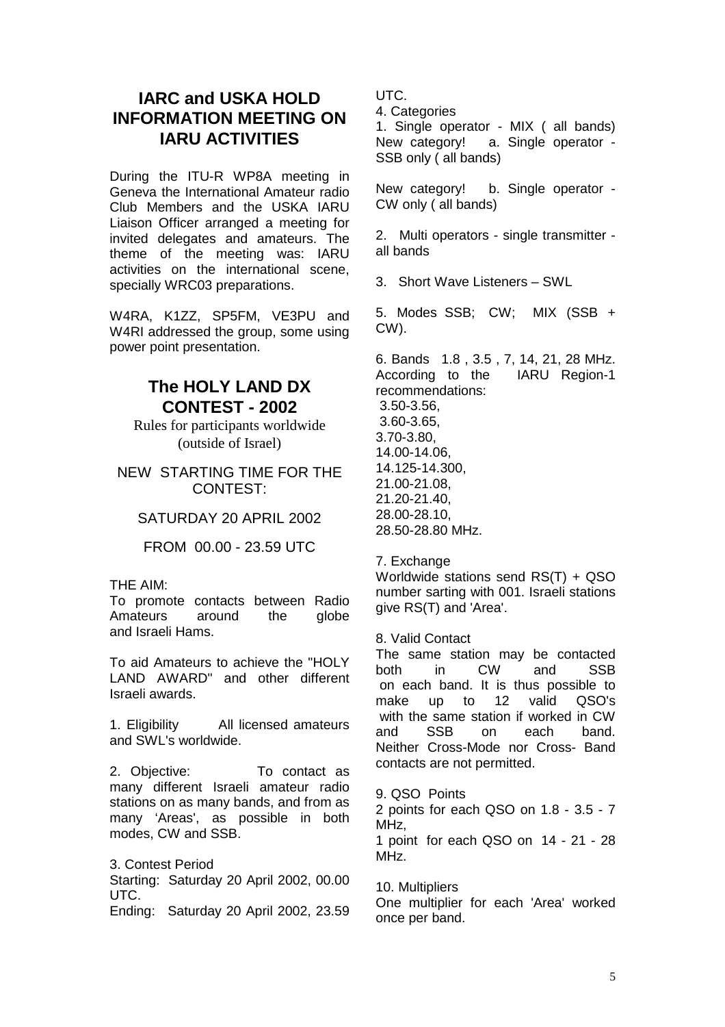# **IARC and USKA HOLD INFORMATION MEETING ON IARU ACTIVITIES**

During the ITU-R WP8A meeting in Geneva the International Amateur radio Club Members and the USKA IARU Liaison Officer arranged a meeting for invited delegates and amateurs. The theme of the meeting was: IARU activities on the international scene, specially WRC03 preparations.

W4RA, K1ZZ, SP5FM, VE3PU and W4RI addressed the group, some using power point presentation.

## **The HOLY LAND DX CONTEST - 2002**

Rules for participants worldwide (outside of Israel)

NEW STARTING TIME FOR THE CONTEST:

SATURDAY 20 APRIL 2002

FROM 00.00 - 23.59 UTC

#### THE AIM:

To promote contacts between Radio Amateurs around the globe and Israeli Hams.

To aid Amateurs to achieve the "HOLY LAND AWARD" and other different Israeli awards.

1. Eligibility All licensed amateurs and SWL's worldwide.

2. Objective: To contact as many different Israeli amateur radio stations on as many bands, and from as many 'Areas', as possible in both modes, CW and SSB.

3. Contest Period Starting: Saturday 20 April 2002, 00.00 UTC. Ending: Saturday 20 April 2002, 23.59 UTC.

4. Categories

1. Single operator - MIX ( all bands) New category! a. Single operator - SSB only ( all bands)

New category! b. Single operator - CW only ( all bands)

2. Multi operators - single transmitter all bands

3. Short Wave Listeners – SWL

5. Modes SSB; CW; MIX (SSB + CW).

6. Bands 1.8 , 3.5 , 7, 14, 21, 28 MHz. According to the IARU Region-1 recommendations: 3.50-3.56, 3.60-3.65, 3.70-3.80, 14.00-14.06, 14.125-14.300, 21.00-21.08, 21.20-21.40, 28.00-28.10, 28.50-28.80 MHz.

7. Exchange

Worldwide stations send RS(T) + QSO number sarting with 001. Israeli stations give RS(T) and 'Area'.

8. Valid Contact

The same station may be contacted both in CW and SSB on each band. It is thus possible to make up to 12 valid QSO's with the same station if worked in CW and SSB on each band. Neither Cross-Mode nor Cross- Band contacts are not permitted.

9. QSO Points

2 points for each QSO on 1.8 - 3.5 - 7 MHz.

1 point for each QSO on 14 - 21 - 28 MHz.

10. Multipliers One multiplier for each 'Area' worked once per band.